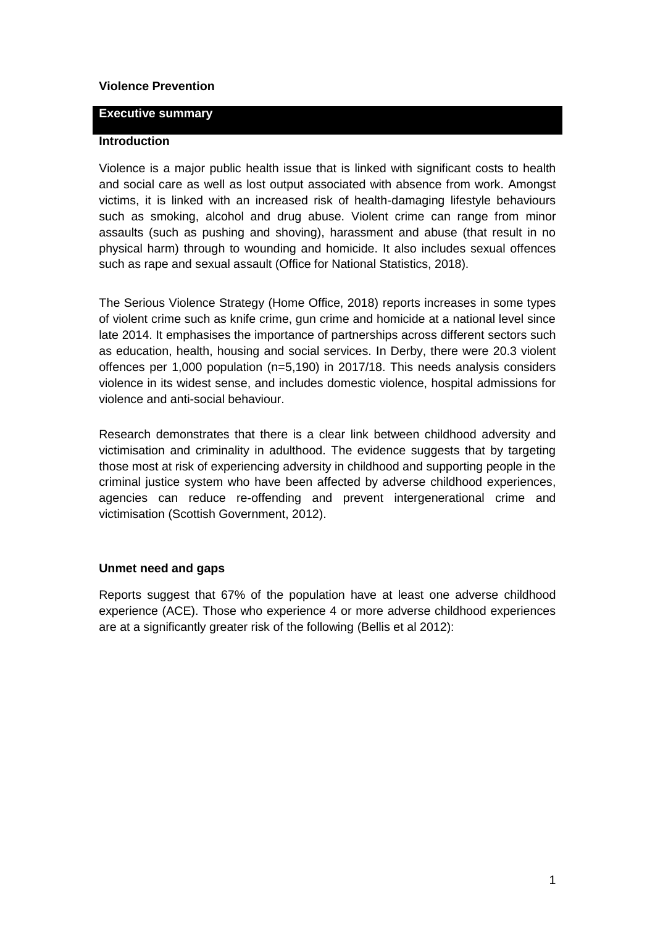## **Violence Prevention**

#### **Executive summary**

### **Introduction**

Violence is a major public health issue that is linked with significant costs to health and social care as well as lost output associated with absence from work. Amongst victims, it is linked with an increased risk of health-damaging lifestyle behaviours such as smoking, alcohol and drug abuse. Violent crime can range from minor assaults (such as pushing and shoving), harassment and abuse (that result in no physical harm) through to wounding and homicide. It also includes sexual offences such as rape and sexual assault (Office for National Statistics, 2018).

The Serious Violence Strategy (Home Office, 2018) reports increases in some types of violent crime such as knife crime, gun crime and homicide at a national level since late 2014. It emphasises the importance of partnerships across different sectors such as education, health, housing and social services. In Derby, there were 20.3 violent offences per 1,000 population (n=5,190) in 2017/18. This needs analysis considers violence in its widest sense, and includes domestic violence, hospital admissions for violence and anti-social behaviour.

Research demonstrates that there is a clear link between childhood adversity and victimisation and criminality in adulthood. The evidence suggests that by targeting those most at risk of experiencing adversity in childhood and supporting people in the criminal justice system who have been affected by adverse childhood experiences, agencies can reduce re-offending and prevent intergenerational crime and victimisation (Scottish Government, 2012).

### **Unmet need and gaps**

Reports suggest that 67% of the population have at least one adverse childhood experience (ACE). Those who experience 4 or more adverse childhood experiences are at a significantly greater risk of the following (Bellis et al 2012):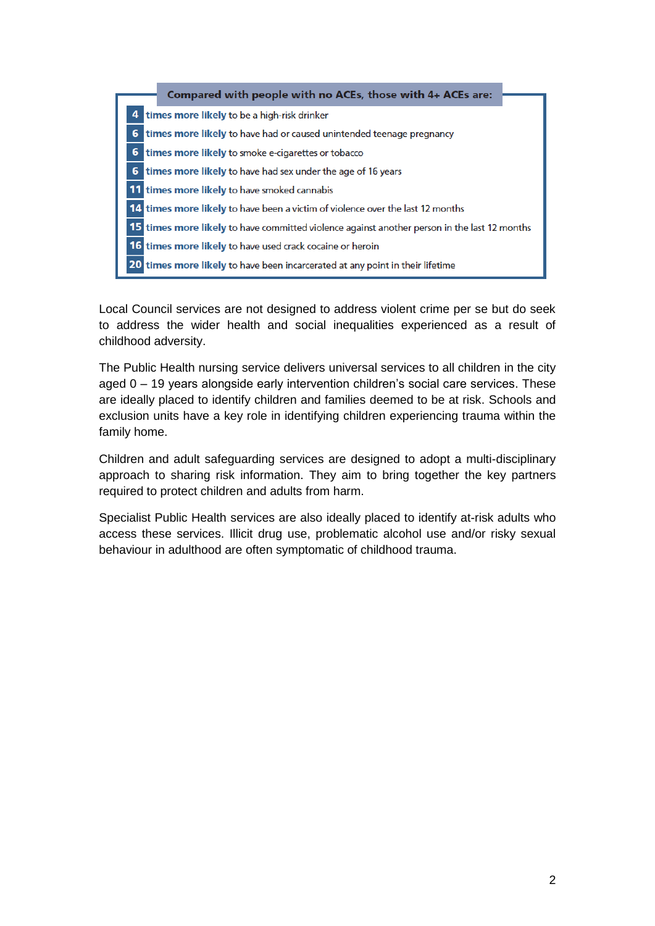|   | Compared with people with no ACEs, those with 4+ ACEs are:                                          |  |
|---|-----------------------------------------------------------------------------------------------------|--|
|   |                                                                                                     |  |
| 4 | times more likely to be a high-risk drinker                                                         |  |
| 6 | times more likely to have had or caused unintended teenage pregnancy                                |  |
| 6 | times more likely to smoke e-cigarettes or tobacco                                                  |  |
|   | 6 times more likely to have had sex under the age of 16 years                                       |  |
|   | <b>11</b> times more likely to have smoked cannabis                                                 |  |
|   | 14 times more likely to have been a victim of violence over the last 12 months                      |  |
|   | <b>15 times more likely to have committed violence against another person in the last 12 months</b> |  |
|   | <b>16 times more likely</b> to have used crack cocaine or heroin                                    |  |
|   | 20 times more likely to have been incarcerated at any point in their lifetime                       |  |

Local Council services are not designed to address violent crime per se but do seek to address the wider health and social inequalities experienced as a result of childhood adversity.

The Public Health nursing service delivers universal services to all children in the city aged 0 – 19 years alongside early intervention children's social care services. These are ideally placed to identify children and families deemed to be at risk. Schools and exclusion units have a key role in identifying children experiencing trauma within the family home.

Children and adult safeguarding services are designed to adopt a multi-disciplinary approach to sharing risk information. They aim to bring together the key partners required to protect children and adults from harm.

Specialist Public Health services are also ideally placed to identify at-risk adults who access these services. Illicit drug use, problematic alcohol use and/or risky sexual behaviour in adulthood are often symptomatic of childhood trauma.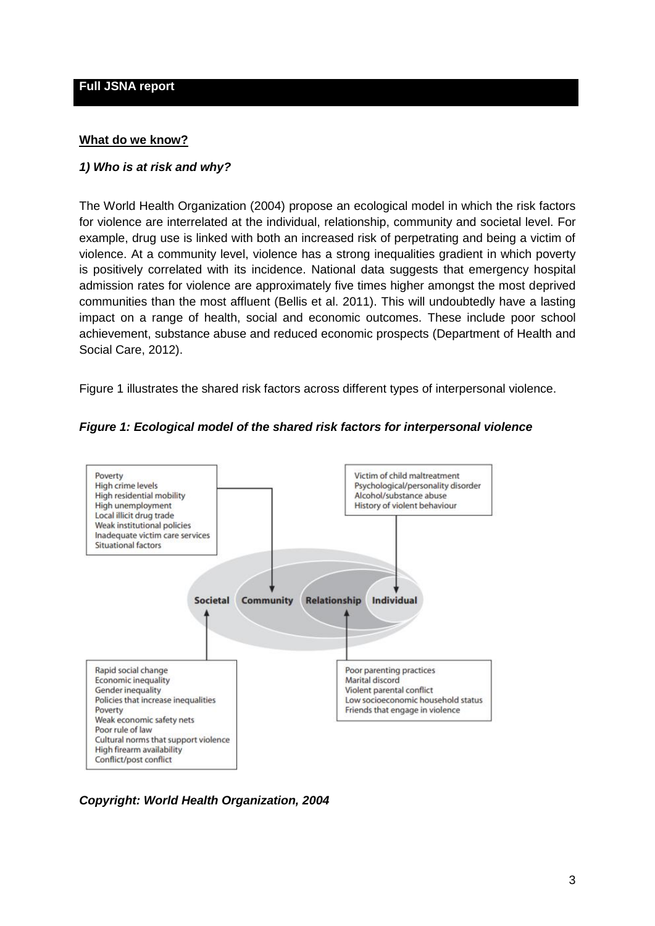#### **Full JSNA report**

#### **What do we know?**

#### *1) Who is at risk and why?*

The World Health Organization (2004) propose an ecological model in which the risk factors for violence are interrelated at the individual, relationship, community and societal level. For example, drug use is linked with both an increased risk of perpetrating and being a victim of violence. At a community level, violence has a strong inequalities gradient in which poverty is positively correlated with its incidence. National data suggests that emergency hospital admission rates for violence are approximately five times higher amongst the most deprived communities than the most affluent (Bellis et al. 2011). This will undoubtedly have a lasting impact on a range of health, social and economic outcomes. These include poor school achievement, substance abuse and reduced economic prospects (Department of Health and Social Care, 2012).

Figure 1 illustrates the shared risk factors across different types of interpersonal violence.



### *Figure 1: Ecological model of the shared risk factors for interpersonal violence*

*Copyright: World Health Organization, 2004*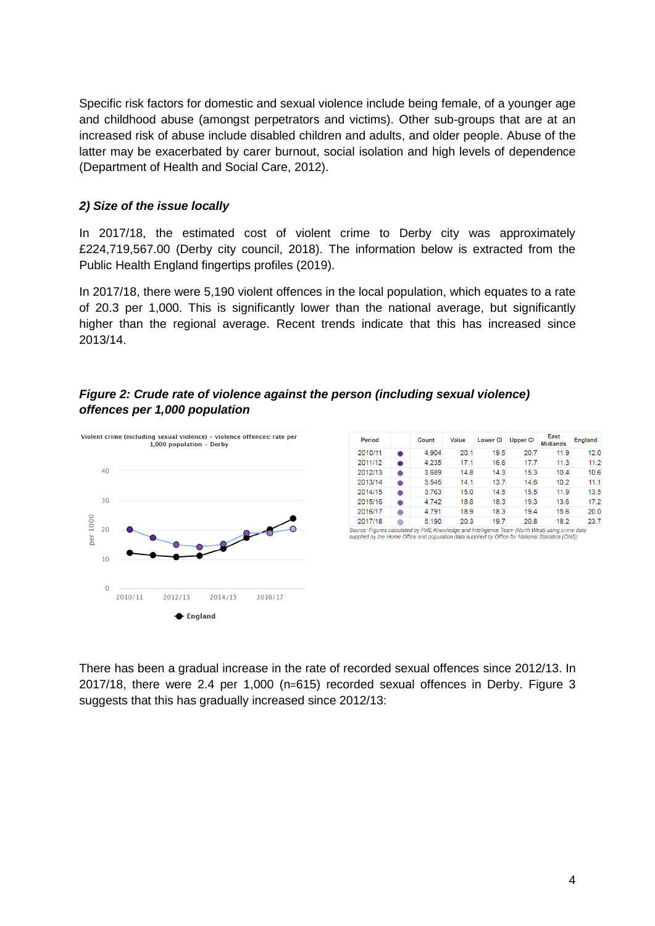Specific risk factors for domestic and sexual violence include being female, of a younger age and childhood abuse (amongst perpetrators and victims). Other sub-groups that are at an increased risk of abuse include disabled children and adults, and older people. Abuse of the latter may be exacerbated by carer burnout, social isolation and high levels of dependence (Department of Health and Social Care, 2012).

# *2) Size of the issue locally*

In 2017/18, the estimated cost of violent crime to Derby city was approximately £224,719,567.00 (Derby city council, 2018). The information below is extracted from the Public Health England fingertips profiles (2019).

In 2017/18, there were 5,190 violent offences in the local population, which equates to a rate of 20.3 per 1,000. This is significantly lower than the national average, but significantly higher than the regional average. Recent trends indicate that this has increased since 2013/14.

# *Figure 2: Crude rate of violence against the person (including sexual violence) offences per 1,000 population*



| Period  |   | Count | Value | <b>Lower CI</b> | <b>Upper CI</b> | East<br><b>Midlands</b> | <b>England</b> |
|---------|---|-------|-------|-----------------|-----------------|-------------------------|----------------|
| 2010/11 | ٠ | 4.904 | 20.1  | 19.5            | 20.7            | 11.9                    | 12.0           |
| 2011/12 | ٠ | 4.235 | 17.1  | 16.6            | 17.7            | 11.3                    | 11.2           |
| 2012/13 | ٠ | 3.689 | 14.8  | 14.3            | 15.3            | 10.4                    | 10.6           |
| 2013/14 | ٠ | 3.545 | 14.1  | 13.7            | 14.6            | 10.2                    | 11.1           |
| 2014/15 | ۰ | 3.763 | 15.0  | 14.5            | 15.5            | 11.9                    | 13.5           |
| 2015/16 | ۰ | 4.742 | 18.8  | 18.3            | 19.3            | 13.6                    | 17.2           |
| 2016/17 | 0 | 4.791 | 18.9  | 18.3            | 19.4            | 15.6                    | 20.0           |
| 2017/18 | O | 5.190 | 20.3  | 19.7            | 20.8            | 18.2                    | 23.7           |

Source: Figures calculated by PHE Knowledge and Intelligence Team (North West) using crime data upplied by the Home Office and population data supplied by Office for National Statistics (ONS)

There has been a gradual increase in the rate of recorded sexual offences since 2012/13. In 2017/18, there were 2.4 per 1,000 (n=615) recorded sexual offences in Derby. Figure 3 suggests that this has gradually increased since 2012/13: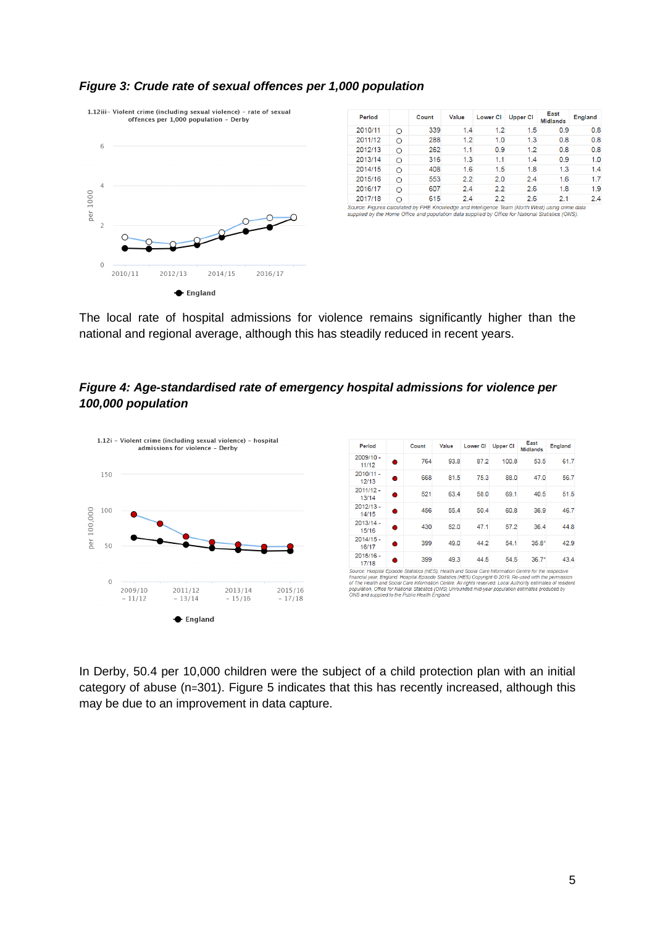

| Period  |            | Count | Value | <b>Lower CI</b> | <b>Upper CI</b> | East<br><b>Midlands</b> | <b>England</b> |
|---------|------------|-------|-------|-----------------|-----------------|-------------------------|----------------|
| 2010/11 | Ω          | 339   | 1.4   | 1.2             | 1.5             | 0.9                     | 0.8            |
| 2011/12 | $\bigcirc$ | 288   | 1.2   | 1.0             | 1.3             | 0.8                     | 0.8            |
| 2012/13 | ∩          | 262   | 1.1   | 0.9             | 1.2             | 0.8                     | 0.8            |
| 2013/14 | ∩          | 316   | 1.3   | 1.1             | 1.4             | 0.9                     | 1.0            |
| 2014/15 | Ο          | 408   | 1.6   | 1.5             | 1.8             | 1.3                     | 1.4            |
| 2015/16 | ∩          | 553   | 2.2   | 2.0             | 2.4             | 1.6                     | 1.7            |
| 2016/17 | O          | 607   | 2.4   | 2.2             | 2.6             | 1.8                     | 1.9            |
| 2017/18 | ∩          | 615   | 2.4   | 2.2             | 2.6             | 2.1                     | 2.4            |

#### *Figure 3: Crude rate of sexual offences per 1,000 population*

Source: Figures calculated by PHE Knowledge and Intelligence Team (North West) using crime data supplied by the Home Office and population data supplied by Office for National Statistics (ONS)

The local rate of hospital admissions for violence remains significantly higher than the national and regional average, although this has steadily reduced in recent years.

# *Figure 4: Age-standardised rate of emergency hospital admissions for violence per 100,000 population*



In Derby, 50.4 per 10,000 children were the subject of a child protection plan with an initial category of abuse (n=301). Figure 5 indicates that this has recently increased, although this may be due to an improvement in data capture.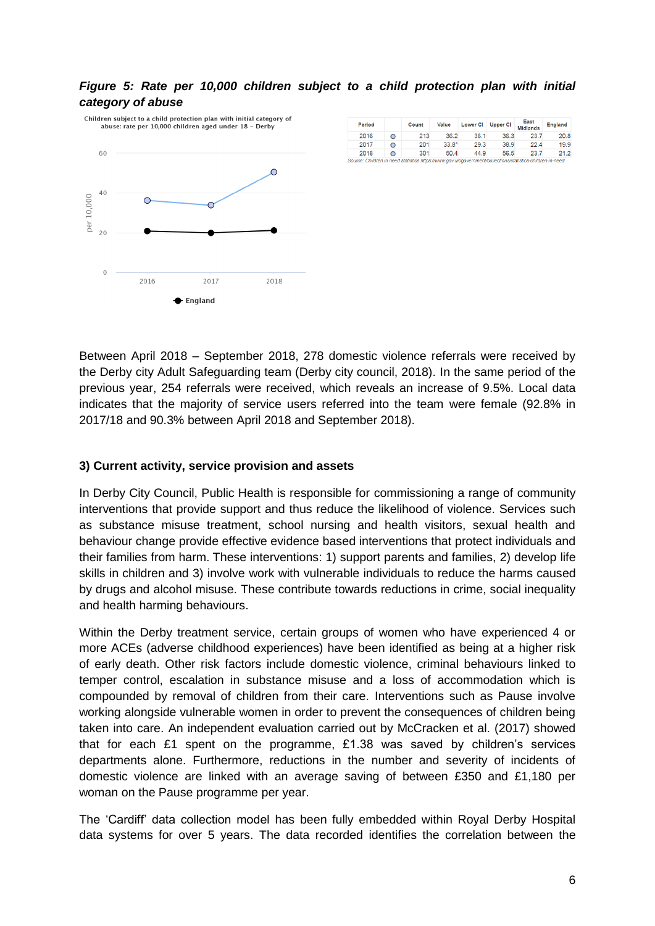### *Figure 5: Rate per 10,000 children subject to a child protection plan with initial category of abuse*



| Period |   | Count | Value   | <b>Lower CI</b> | <b>Upper CI</b> | East<br><b>Midlands</b> | England |
|--------|---|-------|---------|-----------------|-----------------|-------------------------|---------|
| 2016   | O | 213   | 36.2    | 36.1            | 36.3            | 23.7                    | 20.8    |
| 2017   | O | 201   | $33.8*$ | 29.3            | 38.9            | 22.4                    | 19.9    |
| 2018   | O | 301   | 50.4    | 44.9            | 56.5            | 23.7                    | 21.2    |
|        |   |       |         |                 |                 |                         |         |

Between April 2018 – September 2018, 278 domestic violence referrals were received by the Derby city Adult Safeguarding team (Derby city council, 2018). In the same period of the previous year, 254 referrals were received, which reveals an increase of 9.5%. Local data indicates that the majority of service users referred into the team were female (92.8% in 2017/18 and 90.3% between April 2018 and September 2018).

### **3) Current activity, service provision and assets**

In Derby City Council, Public Health is responsible for commissioning a range of community interventions that provide support and thus reduce the likelihood of violence. Services such as substance misuse treatment, school nursing and health visitors, sexual health and behaviour change provide effective evidence based interventions that protect individuals and their families from harm. These interventions: 1) support parents and families, 2) develop life skills in children and 3) involve work with vulnerable individuals to reduce the harms caused by drugs and alcohol misuse. These contribute towards reductions in crime, social inequality and health harming behaviours.

Within the Derby treatment service, certain groups of women who have experienced 4 or more ACEs (adverse childhood experiences) have been identified as being at a higher risk of early death. Other risk factors include domestic violence, criminal behaviours linked to temper control, escalation in substance misuse and a loss of accommodation which is compounded by removal of children from their care. Interventions such as Pause involve working alongside vulnerable women in order to prevent the consequences of children being taken into care. An independent evaluation carried out by McCracken et al. (2017) showed that for each £1 spent on the programme,  $£1.38$  was saved by children's services departments alone. Furthermore, reductions in the number and severity of incidents of domestic violence are linked with an average saving of between £350 and £1,180 per woman on the Pause programme per year.

The 'Cardiff' data collection model has been fully embedded within Royal Derby Hospital data systems for over 5 years. The data recorded identifies the correlation between the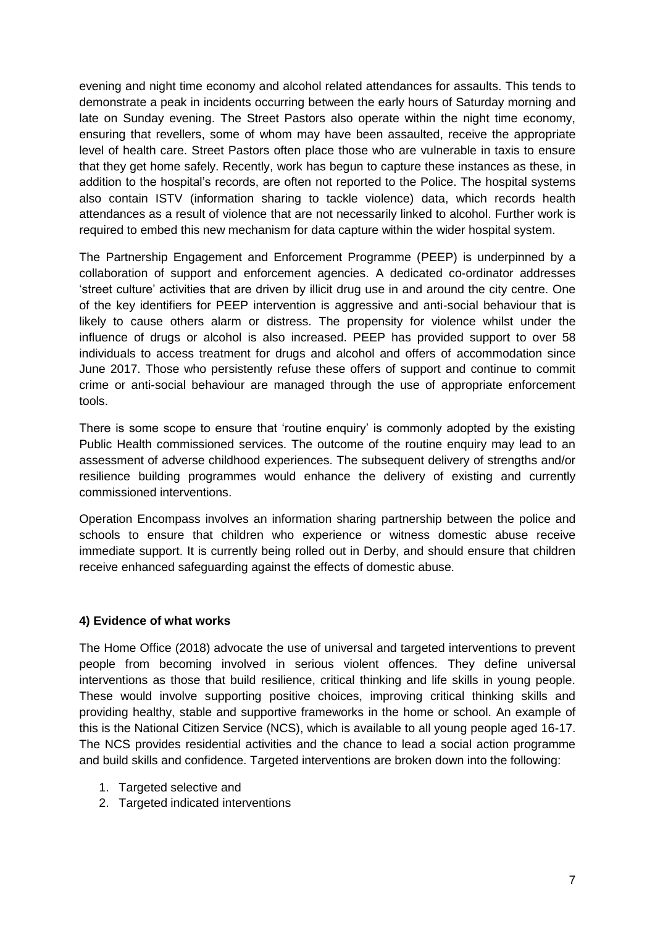evening and night time economy and alcohol related attendances for assaults. This tends to demonstrate a peak in incidents occurring between the early hours of Saturday morning and late on Sunday evening. The Street Pastors also operate within the night time economy, ensuring that revellers, some of whom may have been assaulted, receive the appropriate level of health care. Street Pastors often place those who are vulnerable in taxis to ensure that they get home safely. Recently, work has begun to capture these instances as these, in addition to the hospital's records, are often not reported to the Police. The hospital systems also contain ISTV (information sharing to tackle violence) data, which records health attendances as a result of violence that are not necessarily linked to alcohol. Further work is required to embed this new mechanism for data capture within the wider hospital system.

The Partnership Engagement and Enforcement Programme (PEEP) is underpinned by a collaboration of support and enforcement agencies. A dedicated co-ordinator addresses 'street culture' activities that are driven by illicit drug use in and around the city centre. One of the key identifiers for PEEP intervention is aggressive and anti-social behaviour that is likely to cause others alarm or distress. The propensity for violence whilst under the influence of drugs or alcohol is also increased. PEEP has provided support to over 58 individuals to access treatment for drugs and alcohol and offers of accommodation since June 2017. Those who persistently refuse these offers of support and continue to commit crime or anti-social behaviour are managed through the use of appropriate enforcement tools.

There is some scope to ensure that 'routine enquiry' is commonly adopted by the existing Public Health commissioned services. The outcome of the routine enquiry may lead to an assessment of adverse childhood experiences. The subsequent delivery of strengths and/or resilience building programmes would enhance the delivery of existing and currently commissioned interventions.

Operation Encompass involves an information sharing partnership between the police and schools to ensure that children who experience or witness domestic abuse receive immediate support. It is currently being rolled out in Derby, and should ensure that children receive enhanced safeguarding against the effects of domestic abuse.

# **4) Evidence of what works**

The Home Office (2018) advocate the use of universal and targeted interventions to prevent people from becoming involved in serious violent offences. They define universal interventions as those that build resilience, critical thinking and life skills in young people. These would involve supporting positive choices, improving critical thinking skills and providing healthy, stable and supportive frameworks in the home or school. An example of this is the National Citizen Service (NCS), which is available to all young people aged 16-17. The NCS provides residential activities and the chance to lead a social action programme and build skills and confidence. Targeted interventions are broken down into the following:

- 1. Targeted selective and
- 2. Targeted indicated interventions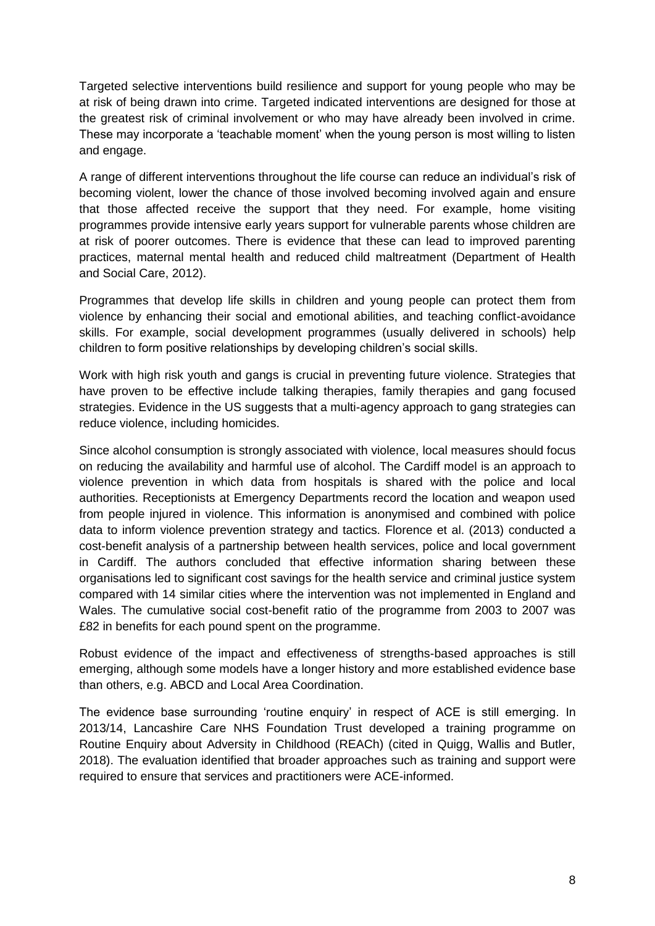Targeted selective interventions build resilience and support for young people who may be at risk of being drawn into crime. Targeted indicated interventions are designed for those at the greatest risk of criminal involvement or who may have already been involved in crime. These may incorporate a 'teachable moment' when the young person is most willing to listen and engage.

A range of different interventions throughout the life course can reduce an individual's risk of becoming violent, lower the chance of those involved becoming involved again and ensure that those affected receive the support that they need. For example, home visiting programmes provide intensive early years support for vulnerable parents whose children are at risk of poorer outcomes. There is evidence that these can lead to improved parenting practices, maternal mental health and reduced child maltreatment (Department of Health and Social Care, 2012).

Programmes that develop life skills in children and young people can protect them from violence by enhancing their social and emotional abilities, and teaching conflict-avoidance skills. For example, social development programmes (usually delivered in schools) help children to form positive relationships by developing children's social skills.

Work with high risk youth and gangs is crucial in preventing future violence. Strategies that have proven to be effective include talking therapies, family therapies and gang focused strategies. Evidence in the US suggests that a multi-agency approach to gang strategies can reduce violence, including homicides.

Since alcohol consumption is strongly associated with violence, local measures should focus on reducing the availability and harmful use of alcohol. The Cardiff model is an approach to violence prevention in which data from hospitals is shared with the police and local authorities. Receptionists at Emergency Departments record the location and weapon used from people injured in violence. This information is anonymised and combined with police data to inform violence prevention strategy and tactics. Florence et al. (2013) conducted a cost-benefit analysis of a partnership between health services, police and local government in Cardiff. The authors concluded that effective information sharing between these organisations led to significant cost savings for the health service and criminal justice system compared with 14 similar cities where the intervention was not implemented in England and Wales. The cumulative social cost-benefit ratio of the programme from 2003 to 2007 was £82 in benefits for each pound spent on the programme.

Robust evidence of the impact and effectiveness of strengths-based approaches is still emerging, although some models have a longer history and more established evidence base than others, e.g. ABCD and Local Area Coordination.

The evidence base surrounding 'routine enquiry' in respect of ACE is still emerging. In 2013/14, Lancashire Care NHS Foundation Trust developed a training programme on Routine Enquiry about Adversity in Childhood (REACh) (cited in Quigg, Wallis and Butler, 2018). The evaluation identified that broader approaches such as training and support were required to ensure that services and practitioners were ACE-informed.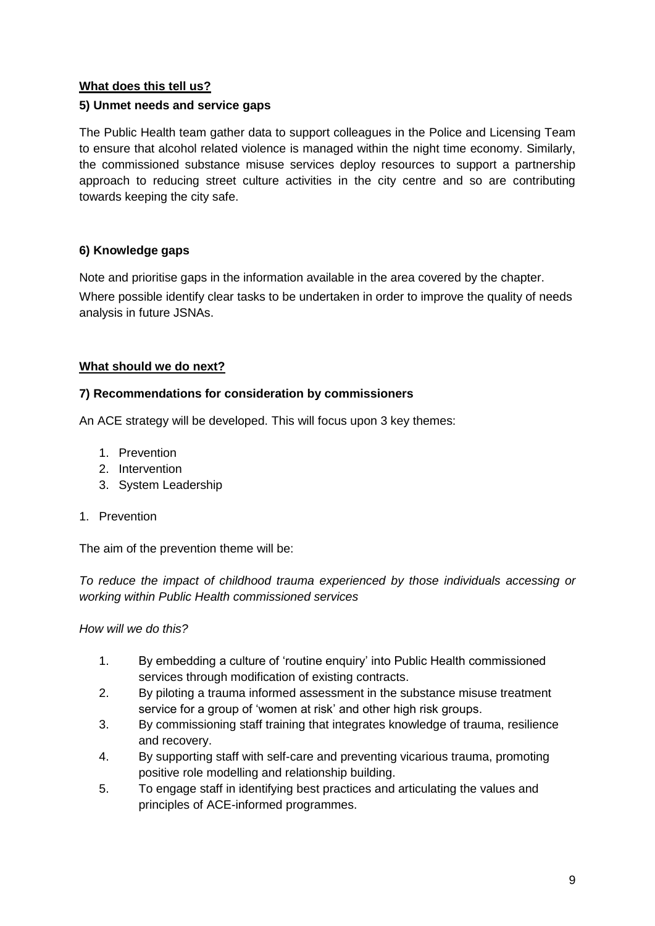# **What does this tell us?**

# **5) Unmet needs and service gaps**

The Public Health team gather data to support colleagues in the Police and Licensing Team to ensure that alcohol related violence is managed within the night time economy. Similarly, the commissioned substance misuse services deploy resources to support a partnership approach to reducing street culture activities in the city centre and so are contributing towards keeping the city safe.

# **6) Knowledge gaps**

Note and prioritise gaps in the information available in the area covered by the chapter. Where possible identify clear tasks to be undertaken in order to improve the quality of needs analysis in future JSNAs.

# **What should we do next?**

### **7) Recommendations for consideration by commissioners**

An ACE strategy will be developed. This will focus upon 3 key themes:

- 1. Prevention
- 2. Intervention
- 3. System Leadership
- 1. Prevention

The aim of the prevention theme will be:

*To reduce the impact of childhood trauma experienced by those individuals accessing or working within Public Health commissioned services*

*How will we do this?*

- 1. By embedding a culture of 'routine enquiry' into Public Health commissioned services through modification of existing contracts.
- 2. By piloting a trauma informed assessment in the substance misuse treatment service for a group of 'women at risk' and other high risk groups.
- 3. By commissioning staff training that integrates knowledge of trauma, resilience and recovery.
- 4. By supporting staff with self-care and preventing vicarious trauma, promoting positive role modelling and relationship building.
- 5. To engage staff in identifying best practices and articulating the values and principles of ACE-informed programmes.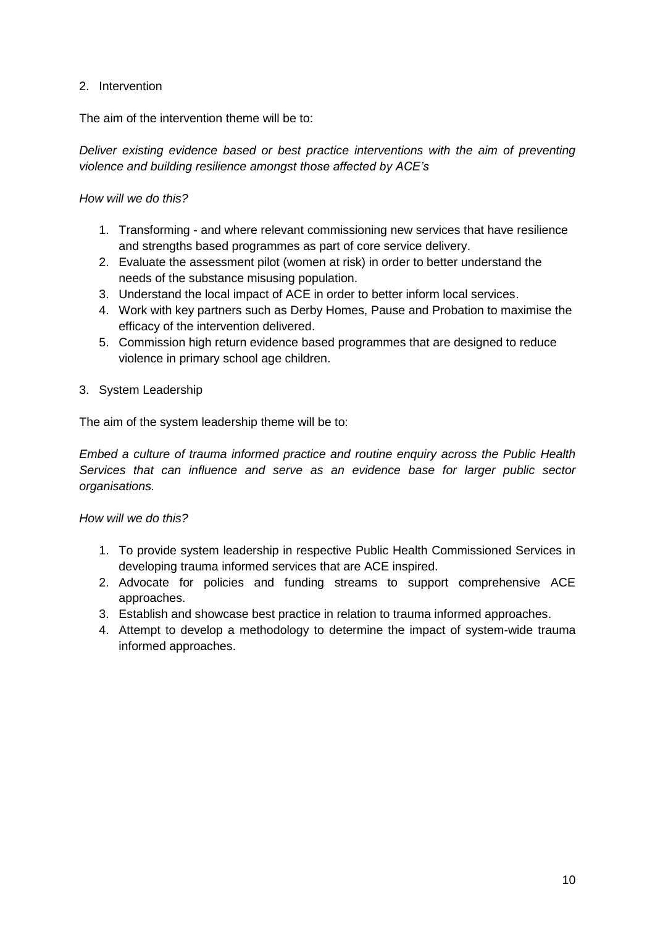# 2. Intervention

The aim of the intervention theme will be to:

*Deliver existing evidence based or best practice interventions with the aim of preventing violence and building resilience amongst those affected by ACE's*

### *How will we do this?*

- 1. Transforming and where relevant commissioning new services that have resilience and strengths based programmes as part of core service delivery.
- 2. Evaluate the assessment pilot (women at risk) in order to better understand the needs of the substance misusing population.
- 3. Understand the local impact of ACE in order to better inform local services.
- 4. Work with key partners such as Derby Homes, Pause and Probation to maximise the efficacy of the intervention delivered.
- 5. Commission high return evidence based programmes that are designed to reduce violence in primary school age children.
- 3. System Leadership

The aim of the system leadership theme will be to:

*Embed a culture of trauma informed practice and routine enquiry across the Public Health Services that can influence and serve as an evidence base for larger public sector organisations.*

### *How will we do this?*

- 1. To provide system leadership in respective Public Health Commissioned Services in developing trauma informed services that are ACE inspired.
- 2. Advocate for policies and funding streams to support comprehensive ACE approaches.
- 3. Establish and showcase best practice in relation to trauma informed approaches.
- 4. Attempt to develop a methodology to determine the impact of system-wide trauma informed approaches.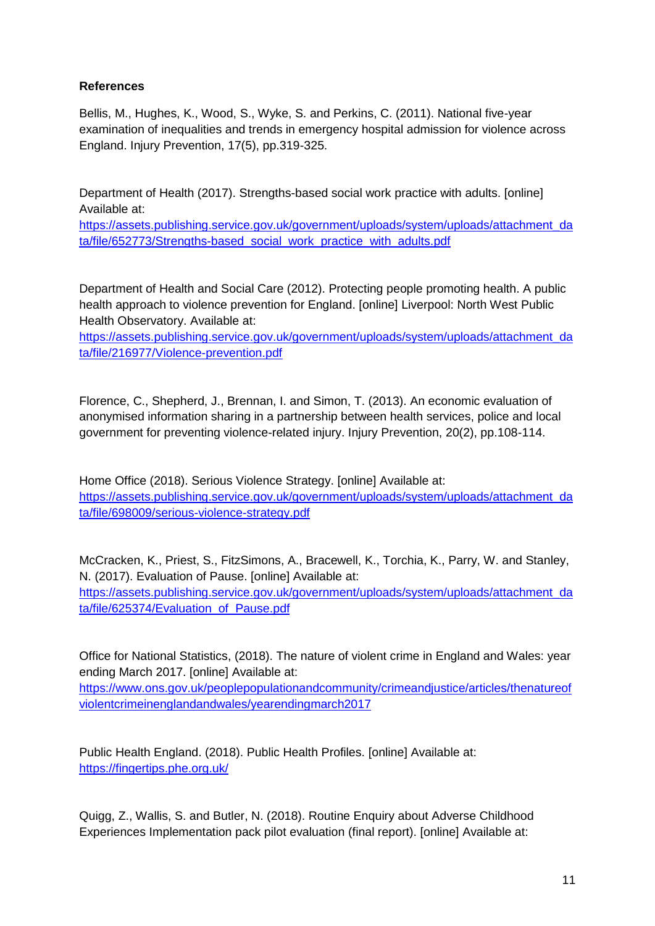# **References**

Bellis, M., Hughes, K., Wood, S., Wyke, S. and Perkins, C. (2011). National five-year examination of inequalities and trends in emergency hospital admission for violence across England. Injury Prevention, 17(5), pp.319-325.

Department of Health (2017). Strengths-based social work practice with adults. [online] Available at:

[https://assets.publishing.service.gov.uk/government/uploads/system/uploads/attachment\\_da](https://assets.publishing.service.gov.uk/government/uploads/system/uploads/attachment_data/file/652773/Strengths-based_social_work_practice_with_adults.pdf) [ta/file/652773/Strengths-based\\_social\\_work\\_practice\\_with\\_adults.pdf](https://assets.publishing.service.gov.uk/government/uploads/system/uploads/attachment_data/file/652773/Strengths-based_social_work_practice_with_adults.pdf)

Department of Health and Social Care (2012). Protecting people promoting health. A public health approach to violence prevention for England. [online] Liverpool: North West Public Health Observatory. Available at:

[https://assets.publishing.service.gov.uk/government/uploads/system/uploads/attachment\\_da](https://assets.publishing.service.gov.uk/government/uploads/system/uploads/attachment_data/file/216977/Violence-prevention.pdf) [ta/file/216977/Violence-prevention.pdf](https://assets.publishing.service.gov.uk/government/uploads/system/uploads/attachment_data/file/216977/Violence-prevention.pdf)

Florence, C., Shepherd, J., Brennan, I. and Simon, T. (2013). An economic evaluation of anonymised information sharing in a partnership between health services, police and local government for preventing violence-related injury. Injury Prevention, 20(2), pp.108-114.

Home Office (2018). Serious Violence Strategy. [online] Available at: [https://assets.publishing.service.gov.uk/government/uploads/system/uploads/attachment\\_da](https://assets.publishing.service.gov.uk/government/uploads/system/uploads/attachment_data/file/698009/serious-violence-strategy.pdf) [ta/file/698009/serious-violence-strategy.pdf](https://assets.publishing.service.gov.uk/government/uploads/system/uploads/attachment_data/file/698009/serious-violence-strategy.pdf)

McCracken, K., Priest, S., FitzSimons, A., Bracewell, K., Torchia, K., Parry, W. and Stanley, N. (2017). Evaluation of Pause. [online] Available at: [https://assets.publishing.service.gov.uk/government/uploads/system/uploads/attachment\\_da](https://assets.publishing.service.gov.uk/government/uploads/system/uploads/attachment_data/file/625374/Evaluation_of_Pause.pdf) [ta/file/625374/Evaluation\\_of\\_Pause.pdf](https://assets.publishing.service.gov.uk/government/uploads/system/uploads/attachment_data/file/625374/Evaluation_of_Pause.pdf)

Office for National Statistics, (2018). The nature of violent crime in England and Wales: year ending March 2017. [online] Available at:

[https://www.ons.gov.uk/peoplepopulationandcommunity/crimeandjustice/articles/thenatureof](https://www.ons.gov.uk/peoplepopulationandcommunity/crimeandjustice/articles/thenatureofviolentcrimeinenglandandwales/yearendingmarch2017) [violentcrimeinenglandandwales/yearendingmarch2017](https://www.ons.gov.uk/peoplepopulationandcommunity/crimeandjustice/articles/thenatureofviolentcrimeinenglandandwales/yearendingmarch2017)

Public Health England. (2018). Public Health Profiles. [online] Available at: <https://fingertips.phe.org.uk/>

Quigg, Z., Wallis, S. and Butler, N. (2018). Routine Enquiry about Adverse Childhood Experiences Implementation pack pilot evaluation (final report). [online] Available at: